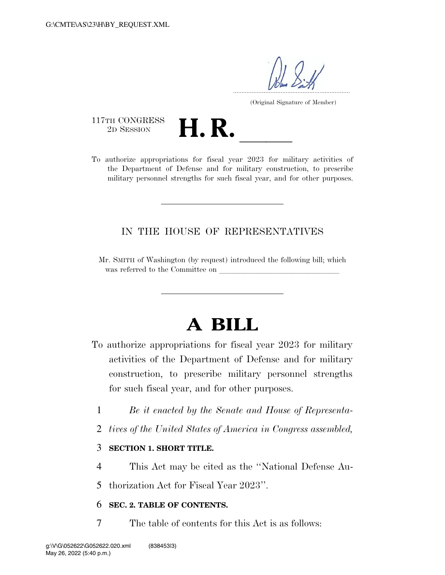.....................................................................

(Original Signature of Member)

117TH CONGRESS<br>2D SESSION

117TH CONGRESS<br>
2D SESSION<br>
To authorize appropriations for fiscal year 2023 for military activities of the Department of Defense and for military construction, to prescribe military personnel strengths for such fiscal year, and for other purposes.

## IN THE HOUSE OF REPRESENTATIVES

Mr. SMITH of Washington (by request) introduced the following bill; which was referred to the Committee on

# **A BILL**

To authorize appropriations for fiscal year 2023 for military activities of the Department of Defense and for military construction, to prescribe military personnel strengths for such fiscal year, and for other purposes.

- 1 *Be it enacted by the Senate and House of Representa-*
- 2 *tives of the United States of America in Congress assembled,*

### 3 **SECTION 1. SHORT TITLE.**

4 This Act may be cited as the ''National Defense Au-

5 thorization Act for Fiscal Year 2023''.

### 6 **SEC. 2. TABLE OF CONTENTS.**

7 The table of contents for this Act is as follows: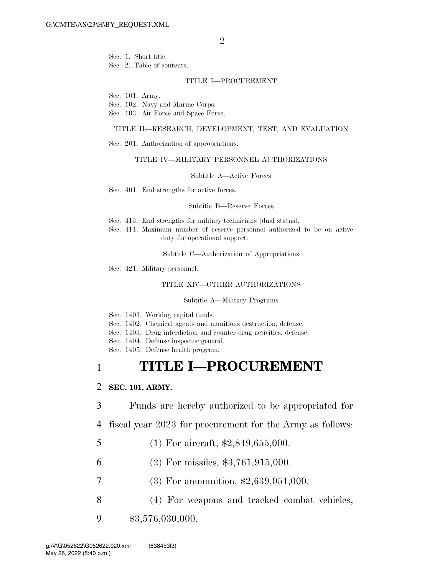$\mathfrak{D}$ 

Sec. 1. Short title. Sec. 2. Table of contents.

#### TITLE I—PROCUREMENT

Sec. 101. Army.

Sec. 102. Navy and Marine Corps.

Sec. 103. Air Force and Space Force.

### TITLE II—RESEARCH, DEVELOPMENT, TEST, AND EVALUATION

Sec. 201. Authorization of appropriations.

### TITLE IV—MILITARY PERSONNEL AUTHORIZATIONS

Subtitle A—Active Forces

Sec. 401. End strengths for active forces.

#### Subtitle B—Reserve Forces

- Sec. 413. End strengths for military technicians (dual status).
- Sec. 414. Maximum number of reserve personnel authorized to be on active duty for operational support.

Subtitle C—Authorization of Appropriations

Sec. 421. Military personnel.

#### TITLE XIV—OTHER AUTHORIZATIONS

Subtitle A—Military Programs

Sec. 1401. Working capital funds.

Sec. 1402. Chemical agents and munitions destruction, defense.

- Sec. 1403. Drug interdiction and counter-drug activities, defense.
- Sec. 1404. Defense inspector general.
- Sec. 1405. Defense health program.

# 1 **TITLE I—PROCUREMENT**

### 2 **SEC. 101. ARMY.**

- 3 Funds are hereby authorized to be appropriated for
- 4 fiscal year 2023 for procurement for the Army as follows:
- 5 (1) For aircraft, \$2,849,655,000.
- 6 (2) For missiles, \$3,761,915,000.
- 7 (3) For ammunition, \$2,639,051,000.
- 8 (4) For weapons and tracked combat vehicles,
- 9 \$3,576,030,000.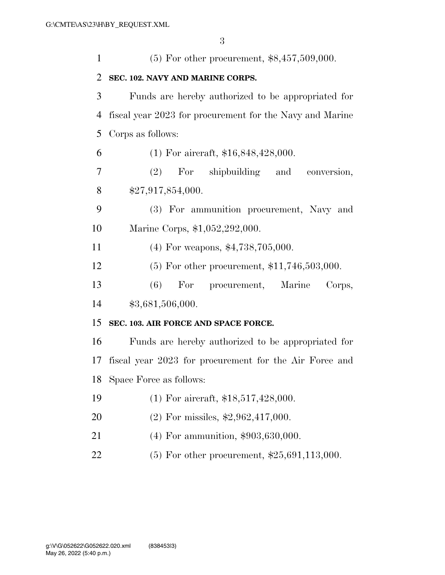| $\mathbf{1}$   | $(5)$ For other procurement, \$8,457,509,000.            |
|----------------|----------------------------------------------------------|
| 2              | SEC. 102. NAVY AND MARINE CORPS.                         |
| 3              | Funds are hereby authorized to be appropriated for       |
| $\overline{4}$ | fiscal year 2023 for procurement for the Navy and Marine |
| 5              | Corps as follows:                                        |
| 6              | $(1)$ For aircraft, \$16,848,428,000.                    |
| 7              | (2) For shipbuilding and conversion,                     |
| 8              | \$27,917,854,000.                                        |
| 9              | (3) For ammunition procurement, Navy and                 |
| 10             | Marine Corps, \$1,052,292,000.                           |
| 11             | $(4)$ For weapons, \$4,738,705,000.                      |
| 12             | $(5)$ For other procurement, \$11,746,503,000.           |
| 13             | (6)<br>For procurement, Marine<br>Corps,                 |
| 14             | \$3,681,506,000.                                         |
| 15             | SEC. 103. AIR FORCE AND SPACE FORCE.                     |
| 16             | Funds are hereby authorized to be appropriated for       |
| 17             | fiscal year 2023 for procurement for the Air Force and   |
|                | 18 Space Force as follows:                               |
| 19             | $(1)$ For aircraft, \$18,517,428,000.                    |
| 20             | $(2)$ For missiles, \$2,962,417,000.                     |
| 21             | $(4)$ For ammunition, \$903,630,000.                     |
| 22             | $(5)$ For other procurement, \$25,691,113,000.           |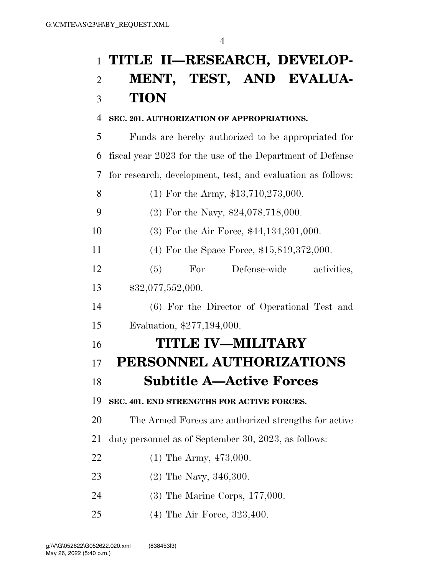# **TITLE II—RESEARCH, DEVELOP-**

# **MENT, TEST, AND EVALUA-TION**

# **SEC. 201. AUTHORIZATION OF APPROPRIATIONS.**

 Funds are hereby authorized to be appropriated for fiscal year 2023 for the use of the Department of Defense for research, development, test, and evaluation as follows: 8 (1) For the Army, \$13,710,273,000. 9 (2) For the Navy, \$24,078,718,000. (3) For the Air Force, \$44,134,301,000. (4) For the Space Force, \$15,819,372,000. (5) For Defense-wide activities, \$32,077,552,000. (6) For the Director of Operational Test and Evaluation, \$277,194,000. **TITLE IV—MILITARY PERSONNEL AUTHORIZATIONS Subtitle A—Active Forces SEC. 401. END STRENGTHS FOR ACTIVE FORCES.**  The Armed Forces are authorized strengths for active duty personnel as of September 30, 2023, as follows: 22 (1) The Army, 473,000. (2) The Navy, 346,300. (3) The Marine Corps, 177,000. (4) The Air Force, 323,400.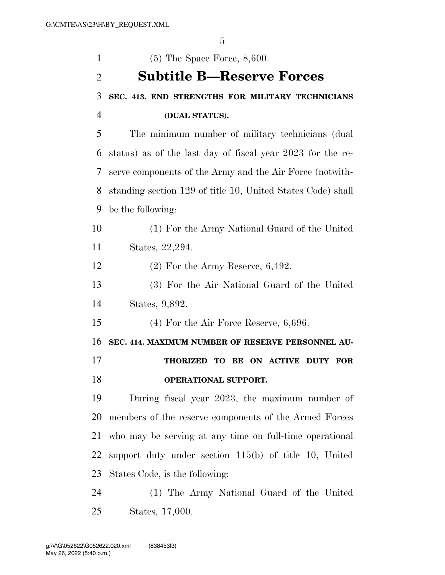| $\mathbf{1}$   | $(5)$ The Space Force, 8,600.                                             |
|----------------|---------------------------------------------------------------------------|
| $\overline{2}$ | <b>Subtitle B—Reserve Forces</b>                                          |
| 3              | SEC. 413. END STRENGTHS FOR MILITARY TECHNICIANS                          |
| $\overline{4}$ | (DUAL STATUS).                                                            |
| 5              | The minimum number of military technicians (dual                          |
| 6              | status) as of the last day of fiscal year 2023 for the re-                |
| 7              | serve components of the Army and the Air Force (notwith-                  |
| 8              | standing section 129 of title 10, United States Code) shall               |
| 9              | be the following:                                                         |
| 10             | (1) For the Army National Guard of the United                             |
| 11             | States, 22,294.                                                           |
| 12             | $(2)$ For the Army Reserve, 6,492.                                        |
| 13             | (3) For the Air National Guard of the United                              |
| 14             | States, 9,892.                                                            |
| 15             | $(4)$ For the Air Force Reserve, 6,696.                                   |
| 16             | SEC. 414. MAXIMUM NUMBER OF RESERVE PERSONNEL AU-                         |
| 17             | <b>THORIZED</b><br>TO BE<br><b>ON ACTIVE</b><br><b>DUTY</b><br><b>FOR</b> |
| 18             | OPERATIONAL SUPPORT.                                                      |
| 19             | During fiscal year 2023, the maximum number of                            |
| 20             | members of the reserve components of the Armed Forces                     |
| 21             | who may be serving at any time on full-time operational                   |
| 22             | support duty under section $115(b)$ of title 10, United                   |
| 23             | States Code, is the following:                                            |
| 24             | (1) The Army National Guard of the United                                 |
| 25             | States, 17,000.                                                           |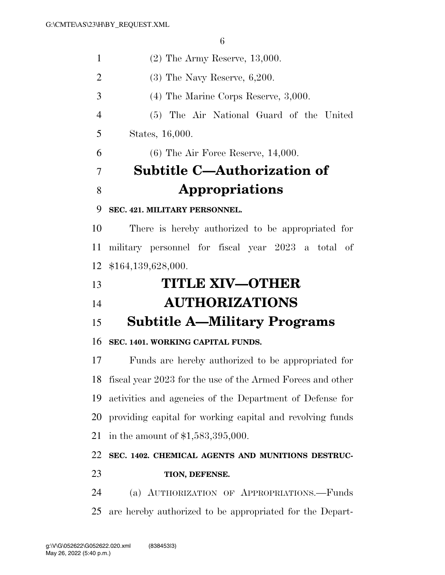(2) The Army Reserve, 13,000. (3) The Navy Reserve, 6,200. (4) The Marine Corps Reserve, 3,000. (5) The Air National Guard of the United States, 16,000. (6) The Air Force Reserve, 14,000. **Subtitle C—Authorization of Appropriations SEC. 421. MILITARY PERSONNEL.**  There is hereby authorized to be appropriated for military personnel for fiscal year 2023 a total of \$164,139,628,000. **TITLE XIV—OTHER AUTHORIZATIONS Subtitle A—Military Programs** 

## **SEC. 1401. WORKING CAPITAL FUNDS.**

 Funds are hereby authorized to be appropriated for fiscal year 2023 for the use of the Armed Forces and other activities and agencies of the Department of Defense for providing capital for working capital and revolving funds in the amount of \$1,583,395,000.

# **SEC. 1402. CHEMICAL AGENTS AND MUNITIONS DESTRUC-TION, DEFENSE.**

 (a) AUTHORIZATION OF APPROPRIATIONS.—Funds are hereby authorized to be appropriated for the Depart-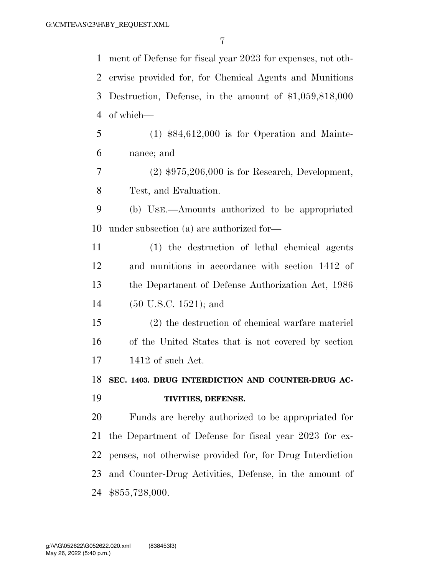ment of Defense for fiscal year 2023 for expenses, not oth- erwise provided for, for Chemical Agents and Munitions Destruction, Defense, in the amount of \$1,059,818,000 of which— (1) \$84,612,000 is for Operation and Mainte- nance; and (2) \$975,206,000 is for Research, Development, Test, and Evaluation. (b) USE.—Amounts authorized to be appropriated under subsection (a) are authorized for— (1) the destruction of lethal chemical agents and munitions in accordance with section 1412 of the Department of Defense Authorization Act, 1986 (50 U.S.C. 1521); and (2) the destruction of chemical warfare materiel of the United States that is not covered by section 1412 of such Act. **SEC. 1403. DRUG INTERDICTION AND COUNTER-DRUG AC- TIVITIES, DEFENSE.**  Funds are hereby authorized to be appropriated for the Department of Defense for fiscal year 2023 for ex- penses, not otherwise provided for, for Drug Interdiction and Counter-Drug Activities, Defense, in the amount of \$855,728,000.